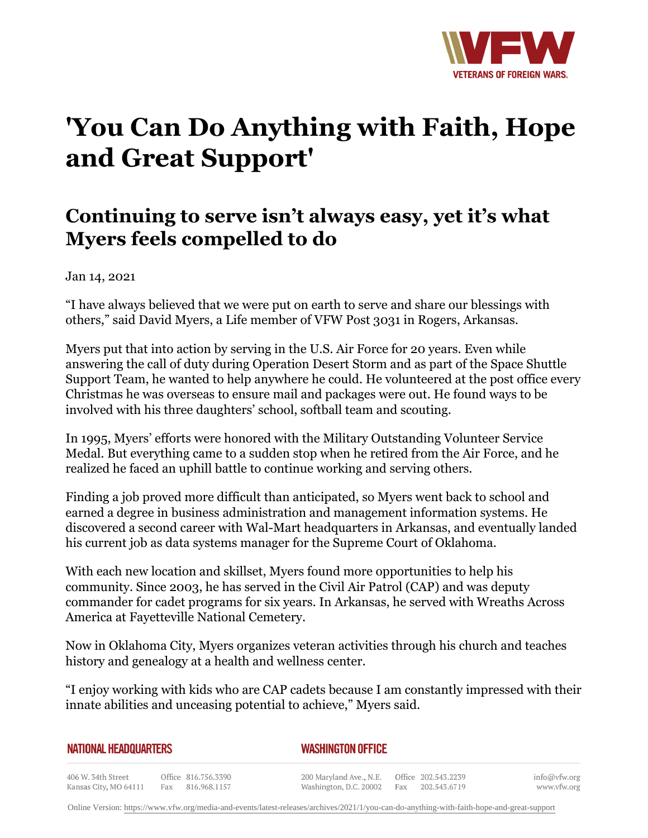

## **'You Can Do Anything with Faith, Hope and Great Support'**

## **Continuing to serve isn't always easy, yet it's what Myers feels compelled to do**

Jan 14, 2021

"I have always believed that we were put on earth to serve and share our blessings with others," said David Myers, a Life member of VFW Post 3031 in Rogers, Arkansas.

Myers put that into action by serving in the U.S. Air Force for 20 years. Even while answering the call of duty during Operation Desert Storm and as part of the Space Shuttle Support Team, he wanted to help anywhere he could. He volunteered at the post office every Christmas he was overseas to ensure mail and packages were out. He found ways to be involved with his three daughters' school, softball team and scouting.

In 1995, Myers' efforts were honored with the Military Outstanding Volunteer Service Medal. But everything came to a sudden stop when he retired from the Air Force, and he realized he faced an uphill battle to continue working and serving others.

Finding a job proved more difficult than anticipated, so Myers went back to school and earned a degree in business administration and management information systems. He discovered a second career with Wal-Mart headquarters in Arkansas, and eventually landed his current job as data systems manager for the Supreme Court of Oklahoma.

With each new location and skillset, Myers found more opportunities to help his community. Since 2003, he has served in the Civil Air Patrol (CAP) and was deputy commander for cadet programs for six years. In Arkansas, he served with Wreaths Across America at Fayetteville National Cemetery.

Now in Oklahoma City, Myers organizes veteran activities through his church and teaches history and genealogy at a health and wellness center.

"I enjoy working with kids who are CAP cadets because I am constantly impressed with their innate abilities and unceasing potential to achieve," Myers said.

| NATIONAL HEADQUARTERS                       |  |                                         | <b>WASHINGTON OFFICE</b> |                                                                       |  |                  |                             |  |
|---------------------------------------------|--|-----------------------------------------|--------------------------|-----------------------------------------------------------------------|--|------------------|-----------------------------|--|
| 406 W. 34th Street<br>Kansas City, MO 64111 |  | Office 816.756.3390<br>Fax 816.968.1157 |                          | 200 Maryland Ave., N.E. Office 202.543.2239<br>Washington, D.C. 20002 |  | Fax 202.543.6719 | info@vfw.org<br>www.vfw.org |  |

Online Version:<https://www.vfw.org/media-and-events/latest-releases/archives/2021/1/you-can-do-anything-with-faith-hope-and-great-support>